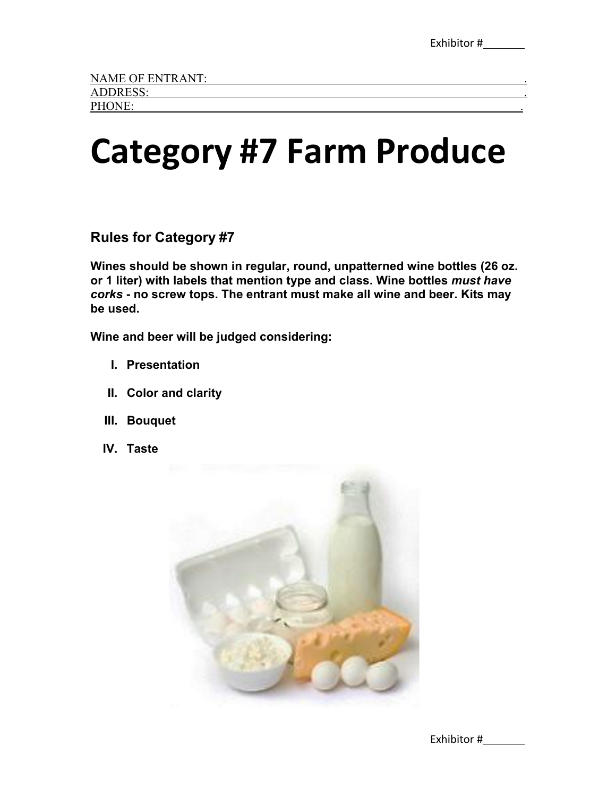## **Category #7 Farm Produce**

**Rules for Category #7**

**Wines should be shown in regular, round, unpatterned wine bottles (26 oz. or 1 liter) with labels that mention type and class. Wine bottles** *must have corks* **- no screw tops. The entrant must make all wine and beer. Kits may be used.**

**Wine and beer will be judged considering:** 

- **I. Presentation**
- **II. Color and clarity**
- **III. Bouquet**
- **IV. Taste**



Exhibitor #